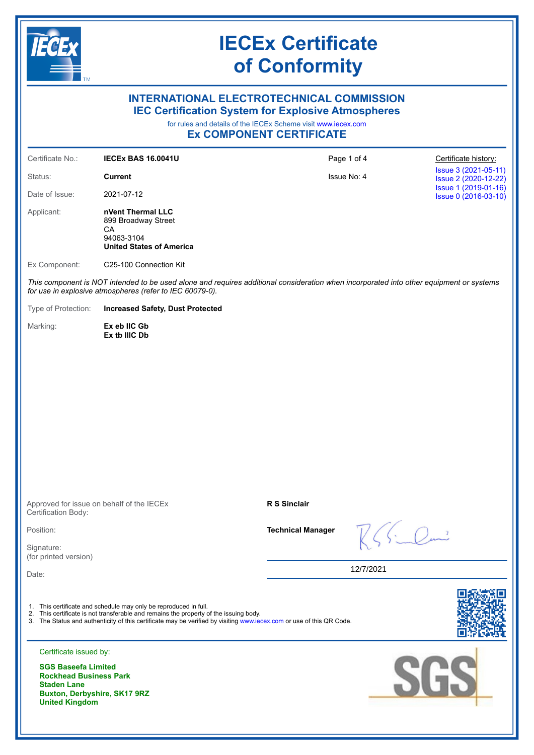

### **INTERNATIONAL ELECTROTECHNICAL COMMISSION IEC Certification System for Explosive Atmospheres**

for rules and details of the IECEx Scheme visit [www.iecex.com](https://www.iecex.com)

**Ex COMPONENT CERTIFICATE**

| Certificate No.:                                                                                                                                                                                    | <b>IECEX BAS 16.0041U</b>                                                                                                                                                                                                                                                         |                          | Page 1 of 4 | Certificate history:                         |  |
|-----------------------------------------------------------------------------------------------------------------------------------------------------------------------------------------------------|-----------------------------------------------------------------------------------------------------------------------------------------------------------------------------------------------------------------------------------------------------------------------------------|--------------------------|-------------|----------------------------------------------|--|
| Status:                                                                                                                                                                                             | <b>Current</b>                                                                                                                                                                                                                                                                    | Issue No: 4              |             | Issue 3 (2021-05-11)<br>Issue 2 (2020-12-22) |  |
| Date of Issue:                                                                                                                                                                                      | 2021-07-12                                                                                                                                                                                                                                                                        |                          |             | Issue 1 (2019-01-16)<br>Issue 0 (2016-03-10) |  |
| Applicant:                                                                                                                                                                                          | nVent Thermal LLC<br>899 Broadway Street<br>CA<br>94063-3104<br><b>United States of America</b>                                                                                                                                                                                   |                          |             |                                              |  |
| Ex Component:                                                                                                                                                                                       | C25-100 Connection Kit                                                                                                                                                                                                                                                            |                          |             |                                              |  |
| This component is NOT intended to be used alone and requires additional consideration when incorporated into other equipment or systems<br>for use in explosive atmospheres (refer to IEC 60079-0). |                                                                                                                                                                                                                                                                                   |                          |             |                                              |  |
| Type of Protection:                                                                                                                                                                                 | <b>Increased Safety, Dust Protected</b>                                                                                                                                                                                                                                           |                          |             |                                              |  |
| Marking:                                                                                                                                                                                            | Ex eb IIC Gb<br>Ex tb IIIC Db                                                                                                                                                                                                                                                     |                          |             |                                              |  |
| Certification Body:                                                                                                                                                                                 | Approved for issue on behalf of the IECEx                                                                                                                                                                                                                                         | R S Sinclair             |             |                                              |  |
| Position:                                                                                                                                                                                           |                                                                                                                                                                                                                                                                                   | <b>Technical Manager</b> |             |                                              |  |
| Signature:                                                                                                                                                                                          |                                                                                                                                                                                                                                                                                   |                          |             |                                              |  |
| (for printed version)<br>Date:                                                                                                                                                                      |                                                                                                                                                                                                                                                                                   |                          | 12/7/2021   |                                              |  |
| Certificate issued by:<br><b>SGS Baseefa Limited</b><br><b>Rockhead Business Park</b><br><b>Staden Lane</b><br>Buxton, Derbyshire, SK17 9RZ                                                         | 1. This certificate and schedule may only be reproduced in full.<br>2. This certificate is not transferable and remains the property of the issuing body.<br>3. The Status and authenticity of this certificate may be verified by visiting www.iecex.com or use of this QR Code. |                          |             | SGS                                          |  |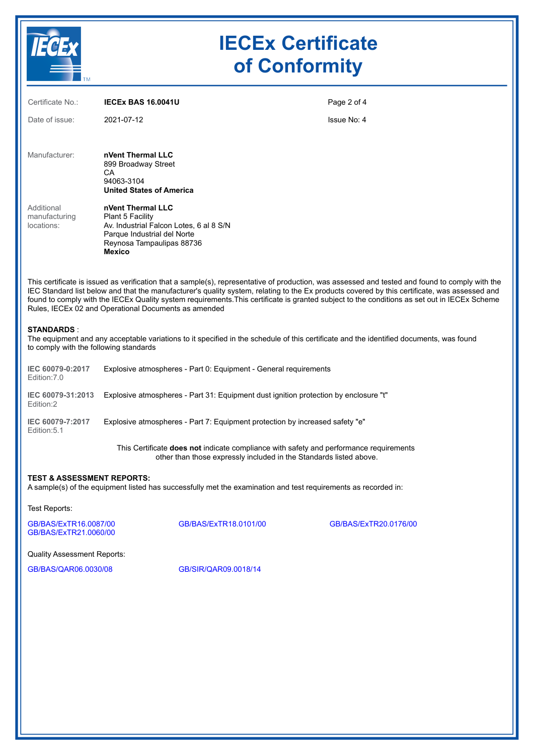

| Certificate No.:                                            | <b>IECEX BAS 16.0041U</b>                                                                                                                                                                                                                                                                                                                                                                                                                                                                                | Page 2 of 4 |  |  |
|-------------------------------------------------------------|----------------------------------------------------------------------------------------------------------------------------------------------------------------------------------------------------------------------------------------------------------------------------------------------------------------------------------------------------------------------------------------------------------------------------------------------------------------------------------------------------------|-------------|--|--|
| Date of issue:                                              | 2021-07-12                                                                                                                                                                                                                                                                                                                                                                                                                                                                                               | Issue No: 4 |  |  |
| Manufacturer:                                               | nVent Thermal LLC<br>899 Broadway Street<br>СA<br>94063-3104<br><b>United States of America</b>                                                                                                                                                                                                                                                                                                                                                                                                          |             |  |  |
| Additional<br>manufacturing<br>locations:                   | nVent Thermal LLC<br>Plant 5 Facility<br>Av. Industrial Falcon Lotes, 6 al 8 S/N<br>Parque Industrial del Norte<br>Reynosa Tampaulipas 88736<br><b>Mexico</b>                                                                                                                                                                                                                                                                                                                                            |             |  |  |
|                                                             | This certificate is issued as verification that a sample(s), representative of production, was assessed and tested and found to comply with the<br>IEC Standard list below and that the manufacturer's quality system, relating to the Ex products covered by this certificate, was assessed and<br>found to comply with the IECEx Quality system requirements. This certificate is granted subject to the conditions as set out in IECEx Scheme<br>Rules, IECEx 02 and Operational Documents as amended |             |  |  |
| <b>STANDARDS:</b><br>to comply with the following standards | The equipment and any acceptable variations to it specified in the schedule of this certificate and the identified documents, was found                                                                                                                                                                                                                                                                                                                                                                  |             |  |  |
| IEC 60079-0:2017<br>Edition: 7.0                            | Explosive atmospheres - Part 0: Equipment - General requirements                                                                                                                                                                                                                                                                                                                                                                                                                                         |             |  |  |
| IEC 60079-31:2013<br>Edition:2                              | Explosive atmospheres - Part 31: Equipment dust ignition protection by enclosure "t"                                                                                                                                                                                                                                                                                                                                                                                                                     |             |  |  |
| IEC 60079-7:2017<br>Edition: 5.1                            | Explosive atmospheres - Part 7: Equipment protection by increased safety "e"                                                                                                                                                                                                                                                                                                                                                                                                                             |             |  |  |
|                                                             | This Certificate does not indicate compliance with safety and performance requirements<br>other than those expressly included in the Standards listed above.                                                                                                                                                                                                                                                                                                                                             |             |  |  |
| <b>TEST &amp; ASSESSMENT REPORTS:</b>                       | A sample(s) of the equipment listed has successfully met the examination and test requirements as recorded in:                                                                                                                                                                                                                                                                                                                                                                                           |             |  |  |
| Test Reports:                                               |                                                                                                                                                                                                                                                                                                                                                                                                                                                                                                          |             |  |  |

[GB/BAS/ExTR16.0087/00](https://www.iecex-certs.com/deliverables/REPORT/19202/view) [GB/BAS/ExTR18.0101/00](https://www.iecex-certs.com/deliverables/REPORT/20184/view) [GB/BAS/ExTR20.0176/00](https://www.iecex-certs.com/deliverables/REPORT/69408/view) [GB/BAS/ExTR21.0060/00](https://www.iecex-certs.com/deliverables/REPORT/73017/view)

Quality Assessment Reports:

[GB/BAS/QAR06.0030/08](https://www.iecex-certs.com/deliverables/REPORT/46911/view) [GB/SIR/QAR09.0018/14](https://www.iecex-certs.com/deliverables/REPORT/71103/view)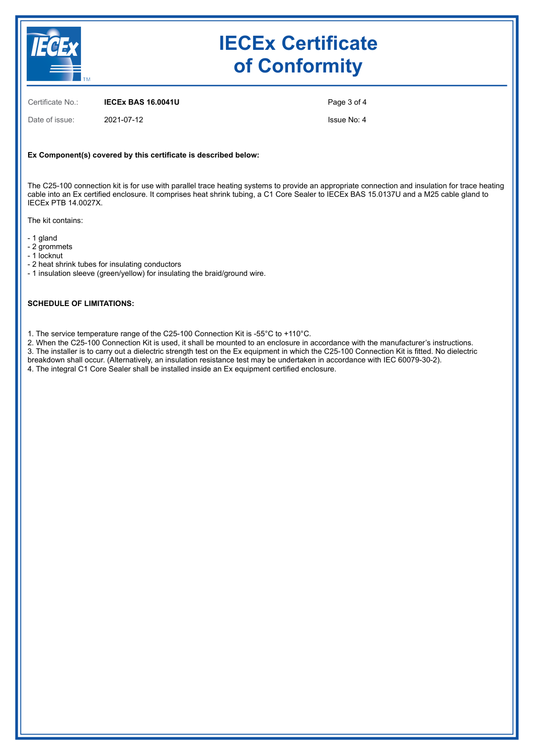

Certificate No.: **IECEx BAS 16.0041U**

Date of issue: 2021-07-12

Page 3 of 4

Issue No: 4

#### **Ex Component(s) covered by this certificate is described below:**

The C25-100 connection kit is for use with parallel trace heating systems to provide an appropriate connection and insulation for trace heating cable into an Ex certified enclosure. It comprises heat shrink tubing, a C1 Core Sealer to IECEx BAS 15.0137U and a M25 cable gland to IECEx PTB 14.0027X.

The kit contains:

- 1 gland

- 2 grommets

- 1 locknut

- 2 heat shrink tubes for insulating conductors

- 1 insulation sleeve (green/yellow) for insulating the braid/ground wire.

#### **SCHEDULE OF LIMITATIONS:**

1. The service temperature range of the C25-100 Connection Kit is -55°C to +110°C.

2. When the C25-100 Connection Kit is used, it shall be mounted to an enclosure in accordance with the manufacturer's instructions.

3. The installer is to carry out a dielectric strength test on the Ex equipment in which the C25-100 Connection Kit is fitted. No dielectric breakdown shall occur. (Alternatively, an insulation resistance test may be undertaken in accordance with IEC 60079-30-2).

4. The integral C1 Core Sealer shall be installed inside an Ex equipment certified enclosure.